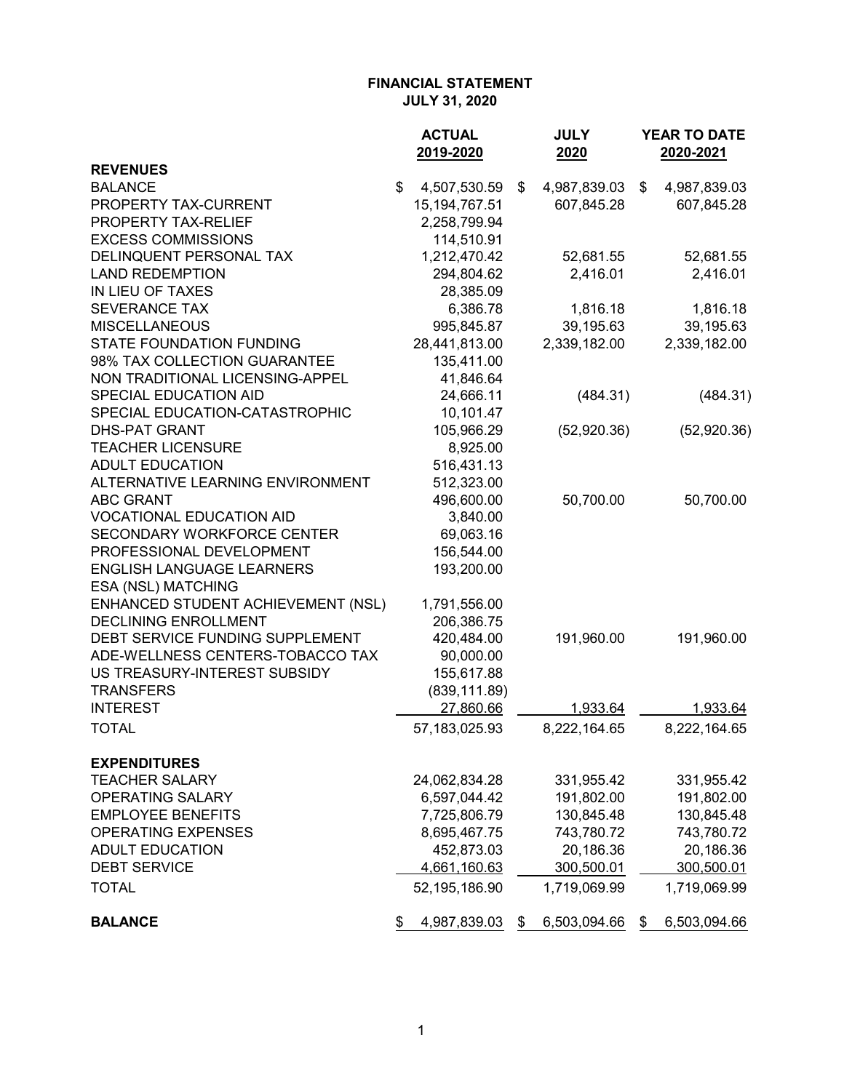|                                    | <b>ACTUAL</b>      | <b>JULY</b>        | <b>YEAR TO DATE</b> |
|------------------------------------|--------------------|--------------------|---------------------|
|                                    | 2019-2020          | 2020               | 2020-2021           |
| <b>REVENUES</b>                    |                    |                    |                     |
| <b>BALANCE</b>                     | \$<br>4,507,530.59 | \$<br>4,987,839.03 | \$<br>4,987,839.03  |
| PROPERTY TAX-CURRENT               | 15, 194, 767. 51   | 607,845.28         | 607,845.28          |
| PROPERTY TAX-RELIEF                | 2,258,799.94       |                    |                     |
| <b>EXCESS COMMISSIONS</b>          | 114,510.91         |                    |                     |
| DELINQUENT PERSONAL TAX            | 1,212,470.42       | 52,681.55          | 52,681.55           |
| <b>LAND REDEMPTION</b>             | 294,804.62         | 2,416.01           | 2,416.01            |
| IN LIEU OF TAXES                   | 28,385.09          |                    |                     |
| <b>SEVERANCE TAX</b>               | 6,386.78           | 1,816.18           | 1,816.18            |
| <b>MISCELLANEOUS</b>               | 995,845.87         | 39,195.63          | 39,195.63           |
| STATE FOUNDATION FUNDING           | 28,441,813.00      | 2,339,182.00       | 2,339,182.00        |
| 98% TAX COLLECTION GUARANTEE       | 135,411.00         |                    |                     |
| NON TRADITIONAL LICENSING-APPEL    | 41,846.64          |                    |                     |
| SPECIAL EDUCATION AID              | 24,666.11          | (484.31)           | (484.31)            |
| SPECIAL EDUCATION-CATASTROPHIC     | 10,101.47          |                    |                     |
| <b>DHS-PAT GRANT</b>               | 105,966.29         | (52,920.36)        | (52,920.36)         |
| <b>TEACHER LICENSURE</b>           | 8,925.00           |                    |                     |
| <b>ADULT EDUCATION</b>             | 516,431.13         |                    |                     |
| ALTERNATIVE LEARNING ENVIRONMENT   | 512,323.00         |                    |                     |
| <b>ABC GRANT</b>                   | 496,600.00         | 50,700.00          | 50,700.00           |
| <b>VOCATIONAL EDUCATION AID</b>    | 3,840.00           |                    |                     |
| <b>SECONDARY WORKFORCE CENTER</b>  | 69,063.16          |                    |                     |
| PROFESSIONAL DEVELOPMENT           | 156,544.00         |                    |                     |
| <b>ENGLISH LANGUAGE LEARNERS</b>   | 193,200.00         |                    |                     |
| <b>ESA (NSL) MATCHING</b>          |                    |                    |                     |
| ENHANCED STUDENT ACHIEVEMENT (NSL) | 1,791,556.00       |                    |                     |
| <b>DECLINING ENROLLMENT</b>        | 206,386.75         |                    |                     |
| DEBT SERVICE FUNDING SUPPLEMENT    | 420,484.00         | 191,960.00         | 191,960.00          |
| ADE-WELLNESS CENTERS-TOBACCO TAX   | 90,000.00          |                    |                     |
| US TREASURY-INTEREST SUBSIDY       | 155,617.88         |                    |                     |
| <b>TRANSFERS</b>                   | (839, 111.89)      |                    |                     |
| <b>INTEREST</b>                    | 27,860.66          | 1,933.64           | 1,933.64            |
| <b>TOTAL</b>                       | 57, 183, 025. 93   | 8,222,164.65       | 8,222,164.65        |
| <b>EXPENDITURES</b>                |                    |                    |                     |
| <b>TEACHER SALARY</b>              | 24,062,834.28      | 331,955.42         | 331,955.42          |
| OPERATING SALARY                   | 6,597,044.42       | 191,802.00         | 191,802.00          |
| <b>EMPLOYEE BENEFITS</b>           | 7,725,806.79       | 130,845.48         | 130,845.48          |
| <b>OPERATING EXPENSES</b>          | 8,695,467.75       | 743,780.72         | 743,780.72          |
| <b>ADULT EDUCATION</b>             | 452,873.03         | 20,186.36          | 20,186.36           |
| <b>DEBT SERVICE</b>                | 4,661,160.63       | 300,500.01         | 300,500.01          |
| <b>TOTAL</b>                       | 52,195,186.90      | 1,719,069.99       | 1,719,069.99        |
| <b>BALANCE</b>                     | \$<br>4,987,839.03 | \$<br>6,503,094.66 | \$<br>6,503,094.66  |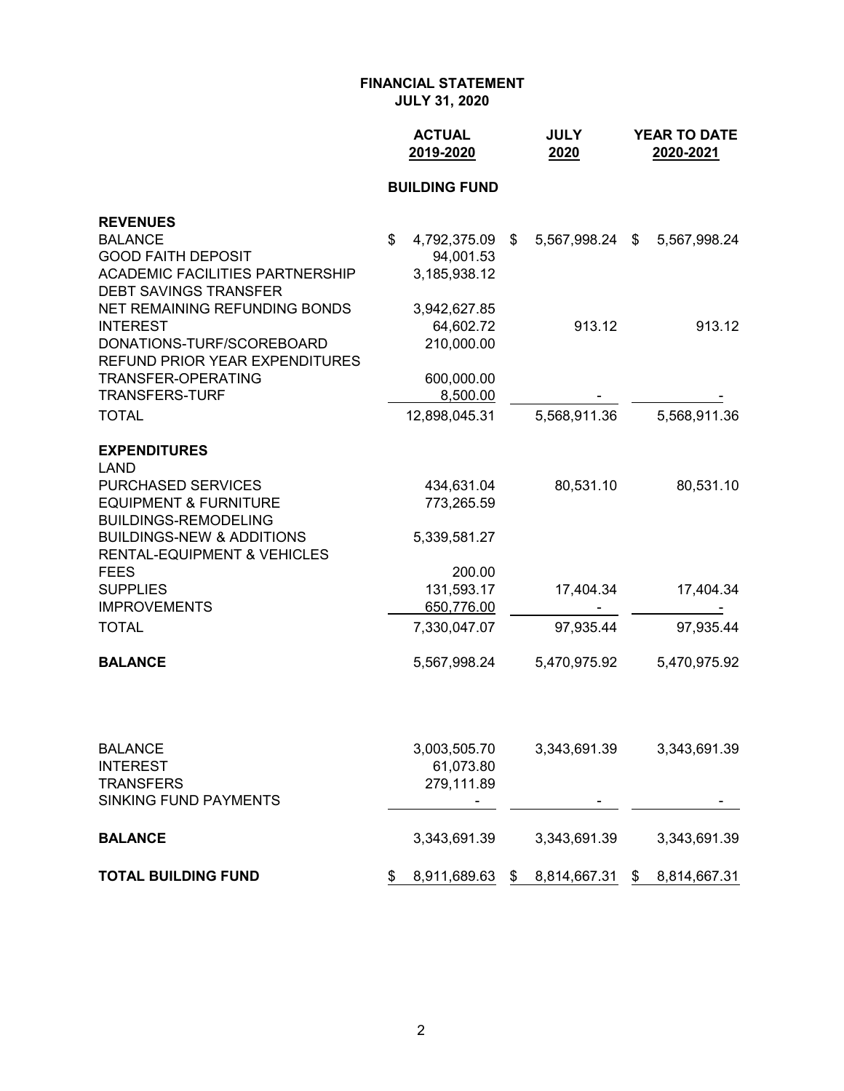|                                                                                | <b>ACTUAL</b><br>2019-2020 | <b>JULY</b><br>2020 | <b>YEAR TO DATE</b><br>2020-2021 |
|--------------------------------------------------------------------------------|----------------------------|---------------------|----------------------------------|
|                                                                                | <b>BUILDING FUND</b>       |                     |                                  |
| <b>REVENUES</b>                                                                |                            |                     |                                  |
| <b>BALANCE</b>                                                                 | \$<br>4,792,375.09 \$      | 5,567,998.24 \$     | 5,567,998.24                     |
| <b>GOOD FAITH DEPOSIT</b>                                                      | 94,001.53                  |                     |                                  |
| <b>ACADEMIC FACILITIES PARTNERSHIP</b>                                         | 3,185,938.12               |                     |                                  |
| <b>DEBT SAVINGS TRANSFER</b>                                                   |                            |                     |                                  |
| NET REMAINING REFUNDING BONDS                                                  | 3,942,627.85               |                     |                                  |
| <b>INTEREST</b><br>DONATIONS-TURF/SCOREBOARD                                   | 64,602.72<br>210,000.00    | 913.12              | 913.12                           |
| REFUND PRIOR YEAR EXPENDITURES                                                 |                            |                     |                                  |
| TRANSFER-OPERATING                                                             | 600,000.00                 |                     |                                  |
| <b>TRANSFERS-TURF</b>                                                          | 8,500.00                   |                     |                                  |
| <b>TOTAL</b>                                                                   | 12,898,045.31              | 5,568,911.36        | 5,568,911.36                     |
| <b>EXPENDITURES</b><br>LAND                                                    |                            |                     |                                  |
| PURCHASED SERVICES                                                             | 434,631.04                 | 80,531.10           | 80,531.10                        |
| <b>EQUIPMENT &amp; FURNITURE</b><br><b>BUILDINGS-REMODELING</b>                | 773,265.59                 |                     |                                  |
| <b>BUILDINGS-NEW &amp; ADDITIONS</b><br><b>RENTAL-EQUIPMENT &amp; VEHICLES</b> | 5,339,581.27               |                     |                                  |
| <b>FEES</b>                                                                    | 200.00                     |                     |                                  |
| <b>SUPPLIES</b>                                                                | 131,593.17                 | 17,404.34           | 17,404.34                        |
| <b>IMPROVEMENTS</b>                                                            | 650,776.00                 |                     |                                  |
| <b>TOTAL</b>                                                                   | 7,330,047.07               | 97,935.44           | 97,935.44                        |
| <b>BALANCE</b>                                                                 | 5,567,998.24               | 5,470,975.92        | 5,470,975.92                     |
|                                                                                |                            |                     |                                  |
| <b>BALANCE</b>                                                                 | 3,003,505.70               | 3,343,691.39        | 3,343,691.39                     |
| <b>INTEREST</b>                                                                | 61,073.80                  |                     |                                  |
| <b>TRANSFERS</b><br>SINKING FUND PAYMENTS                                      | 279,111.89                 |                     |                                  |
| <b>BALANCE</b>                                                                 | 3,343,691.39               | 3,343,691.39        | 3,343,691.39                     |
| <b>TOTAL BUILDING FUND</b>                                                     | \$<br>8,911,689.63 \$      | 8,814,667.31 \$     | 8,814,667.31                     |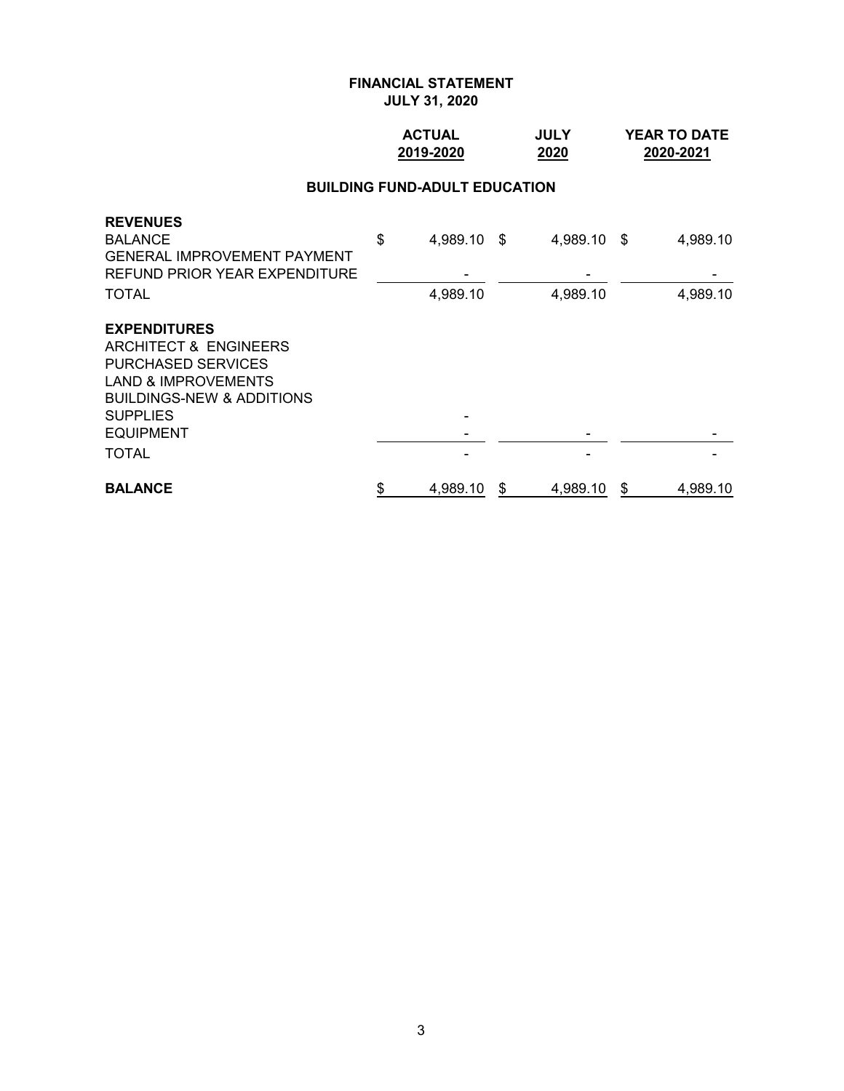## **ACTUAL JULY YEAR TO DATE 2019-2020 2020 2020-2021**

# **BUILDING FUND-ADULT EDUCATION**

| <b>PURCHASED SERVICES</b><br><b>LAND &amp; IMPROVEMENTS</b><br><b>BUILDINGS-NEW &amp; ADDITIONS</b> |                |   |          |   |          |
|-----------------------------------------------------------------------------------------------------|----------------|---|----------|---|----------|
| <b>SUPPLIES</b>                                                                                     |                |   |          |   |          |
| <b>EQUIPMENT</b><br>TOTAL                                                                           |                |   |          |   |          |
| <b>BALANCE</b>                                                                                      | \$<br>4,989.10 | S | 4,989.10 | S | 4,989.10 |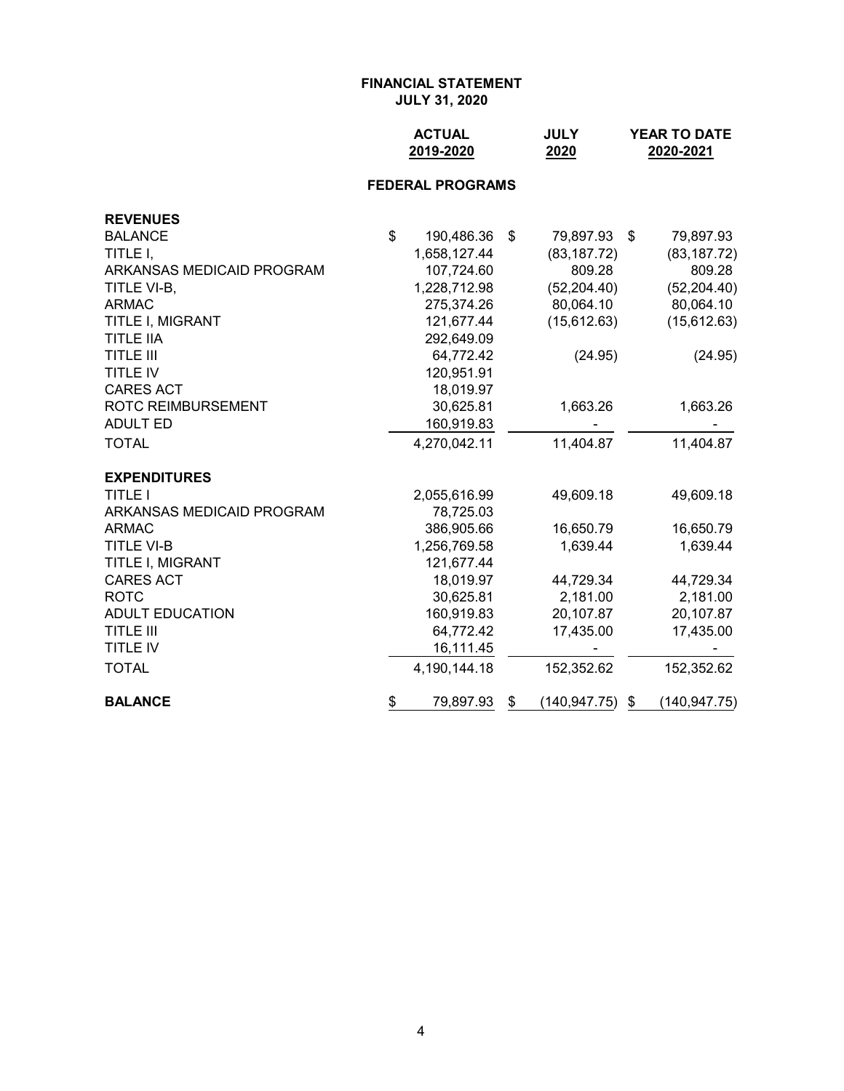| <b>ACTUAL</b> | <b>JULY</b> | <b>YEAR TO DATE</b> |
|---------------|-------------|---------------------|
| 2019-2020     | 2020        | 2020-2021           |

## **FEDERAL PROGRAMS**

| <b>REVENUES</b>           |                  |                     |                    |
|---------------------------|------------------|---------------------|--------------------|
| <b>BALANCE</b>            | \$<br>190,486.36 | \$<br>79,897.93     | \$<br>79,897.93    |
| TITLE I,                  | 1,658,127.44     | (83, 187.72)        | (83, 187.72)       |
| ARKANSAS MEDICAID PROGRAM | 107,724.60       | 809.28              | 809.28             |
| TITLE VI-B,               | 1,228,712.98     | (52, 204.40)        | (52, 204.40)       |
| <b>ARMAC</b>              | 275,374.26       | 80,064.10           | 80,064.10          |
| TITLE I, MIGRANT          | 121,677.44       | (15,612.63)         | (15,612.63)        |
| <b>TITLE IIA</b>          | 292,649.09       |                     |                    |
| <b>TITLE III</b>          | 64,772.42        | (24.95)             | (24.95)            |
| <b>TITLE IV</b>           | 120,951.91       |                     |                    |
| <b>CARES ACT</b>          | 18,019.97        |                     |                    |
| ROTC REIMBURSEMENT        | 30,625.81        | 1,663.26            | 1,663.26           |
| <b>ADULT ED</b>           | 160,919.83       |                     |                    |
| <b>TOTAL</b>              | 4,270,042.11     | 11,404.87           | 11,404.87          |
| <b>EXPENDITURES</b>       |                  |                     |                    |
| <b>TITLE I</b>            | 2,055,616.99     | 49,609.18           | 49,609.18          |
| ARKANSAS MEDICAID PROGRAM | 78,725.03        |                     |                    |
| <b>ARMAC</b>              | 386,905.66       | 16,650.79           | 16,650.79          |
| <b>TITLE VI-B</b>         | 1,256,769.58     | 1,639.44            | 1,639.44           |
| TITLE I, MIGRANT          | 121,677.44       |                     |                    |
| <b>CARES ACT</b>          | 18,019.97        | 44,729.34           | 44,729.34          |
| <b>ROTC</b>               | 30,625.81        | 2,181.00            | 2,181.00           |
| <b>ADULT EDUCATION</b>    | 160,919.83       | 20,107.87           | 20,107.87          |
| <b>TITLE III</b>          | 64,772.42        | 17,435.00           | 17,435.00          |
| <b>TITLE IV</b>           | 16,111.45        |                     |                    |
| <b>TOTAL</b>              | 4,190,144.18     | 152,352.62          | 152,352.62         |
| <b>BALANCE</b>            | \$<br>79,897.93  | \$<br>(140, 947.75) | \$<br>(140,947.75) |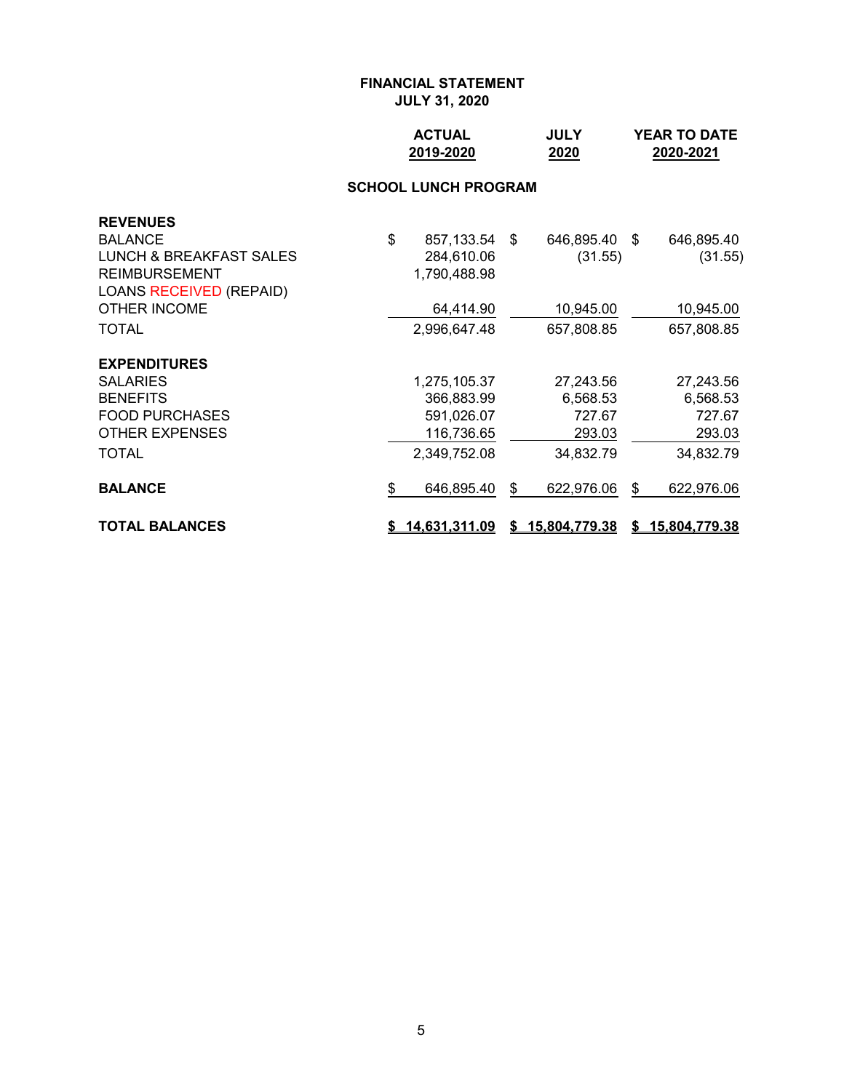| <b>ACTUAL</b> | <b>JULY</b> | <b>YEAR TO DATE</b> |
|---------------|-------------|---------------------|
| 2019-2020     | 2020        | 2020-2021           |

# **SCHOOL LUNCH PROGRAM**

| <b>REVENUES</b>                |                        |                  |                  |
|--------------------------------|------------------------|------------------|------------------|
| <b>BALANCE</b>                 | \$<br>857,133.54 \$    | 646,895.40 \$    | 646,895.40       |
| LUNCH & BREAKFAST SALES        | 284,610.06             | (31.55)          | (31.55)          |
| <b>REIMBURSEMENT</b>           | 1,790,488.98           |                  |                  |
| <b>LOANS RECEIVED (REPAID)</b> |                        |                  |                  |
| OTHER INCOME                   | 64,414.90              | 10,945.00        | 10,945.00        |
| <b>TOTAL</b>                   | 2,996,647.48           | 657,808.85       | 657,808.85       |
| <b>EXPENDITURES</b>            |                        |                  |                  |
| <b>SALARIES</b>                | 1,275,105.37           | 27,243.56        | 27,243.56        |
| <b>BENEFITS</b>                | 366,883.99             | 6,568.53         | 6,568.53         |
| <b>FOOD PURCHASES</b>          | 591,026.07             | 727.67           | 727.67           |
| <b>OTHER EXPENSES</b>          | 116,736.65             | 293.03           | 293.03           |
| <b>TOTAL</b>                   | 2,349,752.08           | 34,832.79        | 34,832.79        |
| <b>BALANCE</b>                 | \$<br>646,895.40       | \$<br>622,976.06 | \$<br>622,976.06 |
| <b>TOTAL BALANCES</b>          | <u>\$14,631,311.09</u> | \$15,804,779.38  | \$15,804,779.38  |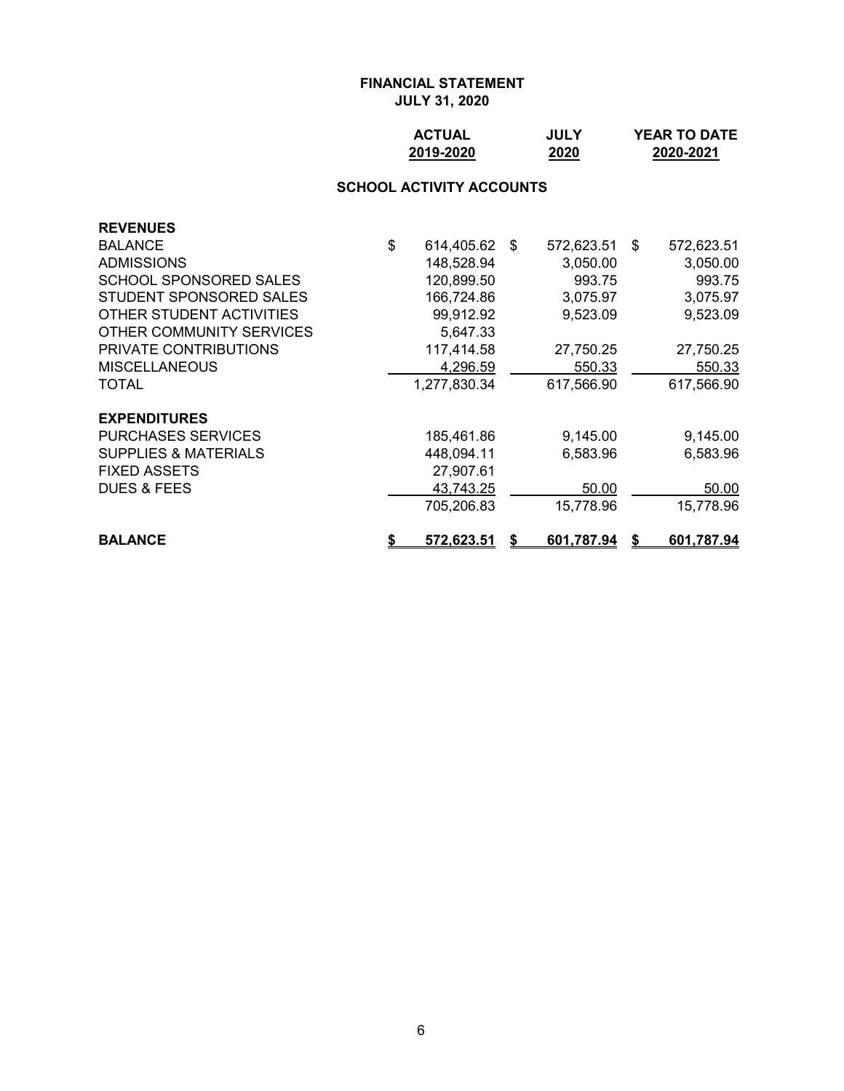| <b>ACTUAL</b> | <b>JULY</b> | <b>YEAR TO DATE</b> |
|---------------|-------------|---------------------|
| 2019-2020     | 2020        | 2020-2021           |

# **SCHOOL ACTIVITY ACCOUNTS**

| <b>REVENUES</b>                 |    |              |    |            |    |            |
|---------------------------------|----|--------------|----|------------|----|------------|
| <b>BALANCE</b>                  | \$ | 614,405.62   | \$ | 572,623.51 | S. | 572,623.51 |
| <b>ADMISSIONS</b>               |    | 148,528.94   |    | 3,050.00   |    | 3,050.00   |
| <b>SCHOOL SPONSORED SALES</b>   |    | 120,899.50   |    | 993.75     |    | 993.75     |
| STUDENT SPONSORED SALES         |    | 166,724.86   |    | 3,075.97   |    | 3,075.97   |
| OTHER STUDENT ACTIVITIES        |    | 99,912.92    |    | 9,523.09   |    | 9,523.09   |
| OTHER COMMUNITY SERVICES        |    | 5,647.33     |    |            |    |            |
| PRIVATE CONTRIBUTIONS           |    | 117,414.58   |    | 27,750.25  |    | 27,750.25  |
| <b>MISCELLANEOUS</b>            |    | 4,296.59     |    | 550.33     |    | 550.33     |
| <b>TOTAL</b>                    |    | 1,277,830.34 |    | 617,566.90 |    | 617,566.90 |
| <b>EXPENDITURES</b>             |    |              |    |            |    |            |
| <b>PURCHASES SERVICES</b>       |    | 185,461.86   |    | 9,145.00   |    | 9,145.00   |
| <b>SUPPLIES &amp; MATERIALS</b> |    | 448,094.11   |    | 6,583.96   |    | 6,583.96   |
| <b>FIXED ASSETS</b>             |    | 27,907.61    |    |            |    |            |
| <b>DUES &amp; FEES</b>          |    | 43,743.25    |    | 50.00      |    | 50.00      |
|                                 |    | 705.206.83   |    | 15,778.96  |    | 15,778.96  |
| <b>BALANCE</b>                  | S  | 572,623.51   | S. | 601,787.94 | S  | 601,787.94 |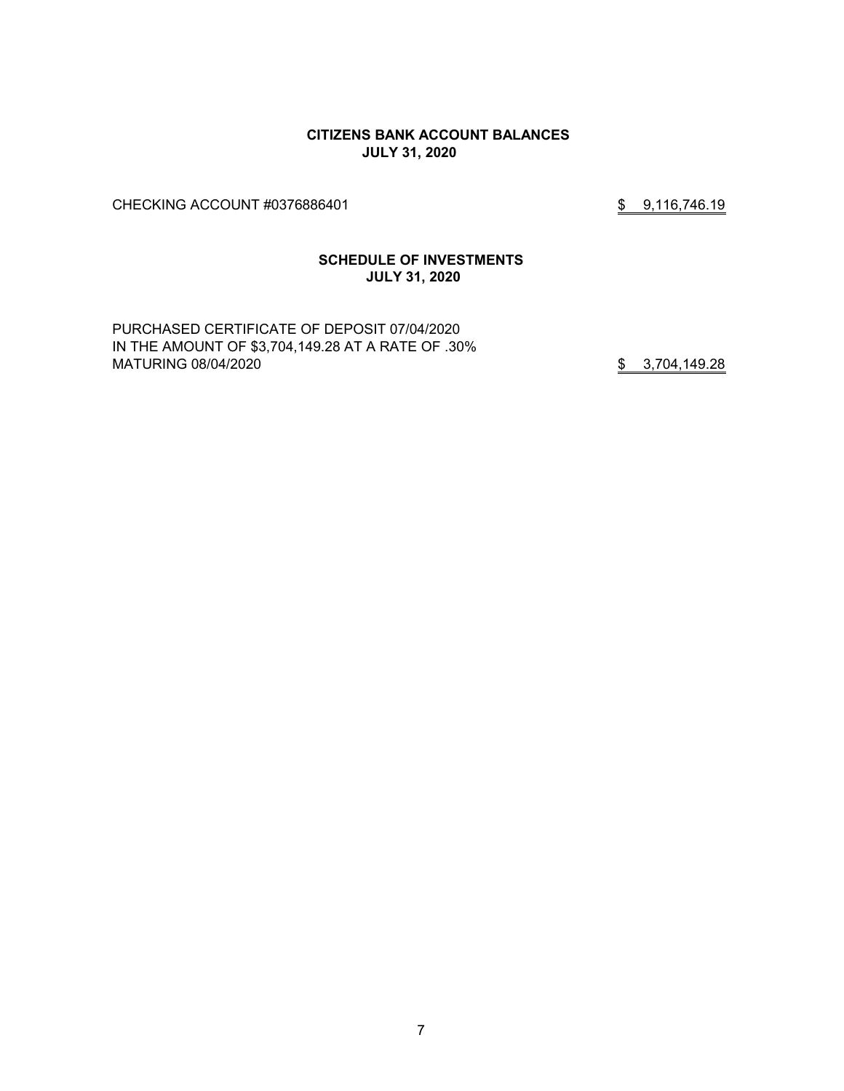### **CITIZENS BANK ACCOUNT BALANCES JULY 31, 2020**

CHECKING ACCOUNT #0376886401 \$ 9,116,746.19

#### **SCHEDULE OF INVESTMENTS JULY 31, 2020**

PURCHASED CERTIFICATE OF DEPOSIT 07/04/2020 IN THE AMOUNT OF \$3,704,149.28 AT A RATE OF .30% MATURING 08/04/2020 **\$** 3,704,149.28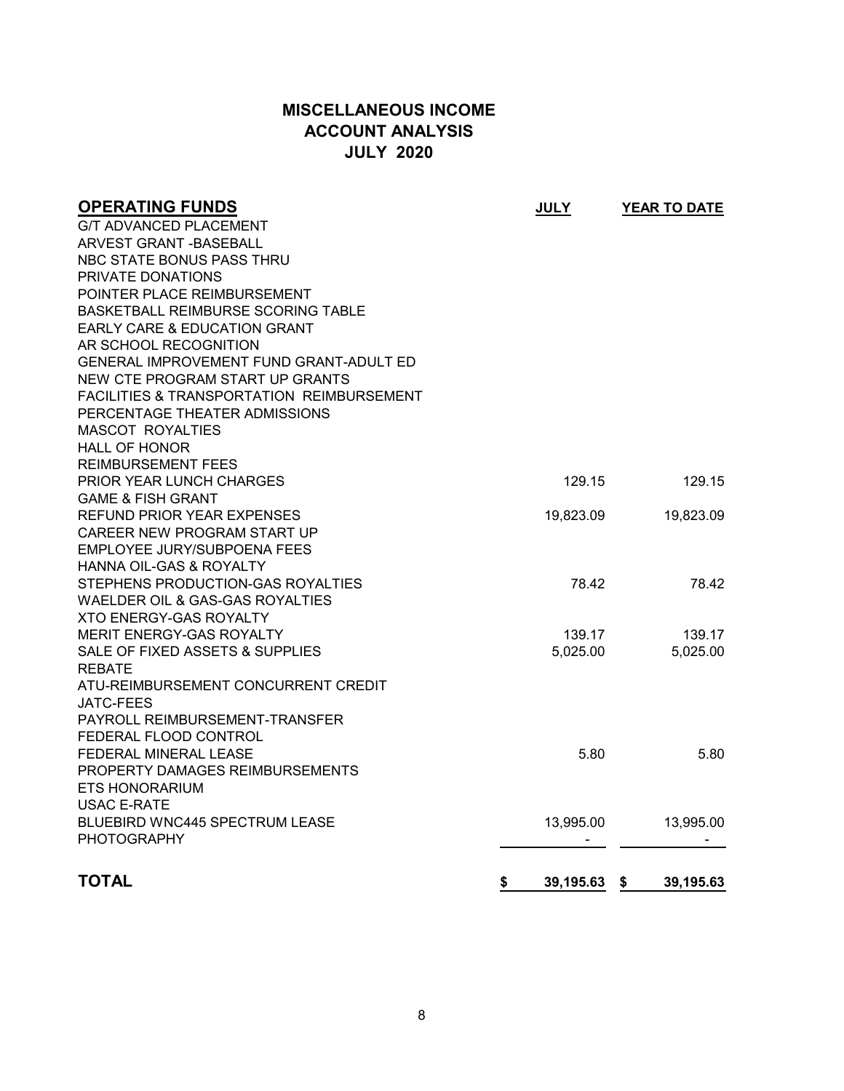# **MISCELLANEOUS INCOME ACCOUNT ANALYSIS JULY 2020**

| <b>OPERATING FUNDS</b>                               | <b>JULY</b>     | YEAR TO DATE      |
|------------------------------------------------------|-----------------|-------------------|
| G/T ADVANCED PLACEMENT                               |                 |                   |
| ARVEST GRANT -BASEBALL                               |                 |                   |
| NBC STATE BONUS PASS THRU                            |                 |                   |
| PRIVATE DONATIONS                                    |                 |                   |
| POINTER PLACE REIMBURSEMENT                          |                 |                   |
| <b>BASKETBALL REIMBURSE SCORING TABLE</b>            |                 |                   |
| EARLY CARE & EDUCATION GRANT                         |                 |                   |
| AR SCHOOL RECOGNITION                                |                 |                   |
| GENERAL IMPROVEMENT FUND GRANT-ADULT ED              |                 |                   |
| NEW CTE PROGRAM START UP GRANTS                      |                 |                   |
| <b>FACILITIES &amp; TRANSPORTATION REIMBURSEMENT</b> |                 |                   |
| PERCENTAGE THEATER ADMISSIONS                        |                 |                   |
| <b>MASCOT ROYALTIES</b>                              |                 |                   |
| <b>HALL OF HONOR</b>                                 |                 |                   |
| <b>REIMBURSEMENT FEES</b>                            |                 |                   |
| PRIOR YEAR LUNCH CHARGES                             | 129.15          | 129.15            |
| <b>GAME &amp; FISH GRANT</b>                         |                 |                   |
| REFUND PRIOR YEAR EXPENSES                           | 19,823.09       | 19,823.09         |
| CAREER NEW PROGRAM START UP                          |                 |                   |
| EMPLOYEE JURY/SUBPOENA FEES                          |                 |                   |
| HANNA OIL-GAS & ROYALTY                              |                 |                   |
| STEPHENS PRODUCTION-GAS ROYALTIES                    | 78.42           | 78.42             |
| WAELDER OIL & GAS-GAS ROYALTIES                      |                 |                   |
| <b>XTO ENERGY-GAS ROYALTY</b>                        |                 |                   |
| <b>MERIT ENERGY-GAS ROYALTY</b>                      | 139.17          | 139.17            |
| SALE OF FIXED ASSETS & SUPPLIES                      | 5,025.00        | 5,025.00          |
| <b>REBATE</b>                                        |                 |                   |
| ATU-REIMBURSEMENT CONCURRENT CREDIT                  |                 |                   |
| <b>JATC-FEES</b>                                     |                 |                   |
| PAYROLL REIMBURSEMENT-TRANSFER                       |                 |                   |
| FEDERAL FLOOD CONTROL                                |                 |                   |
| FEDERAL MINERAL LEASE                                | 5.80            | 5.80              |
| PROPERTY DAMAGES REIMBURSEMENTS                      |                 |                   |
| ETS HONORARIUM                                       |                 |                   |
| <b>USAC E-RATE</b>                                   |                 |                   |
| <b>BLUEBIRD WNC445 SPECTRUM LEASE</b>                | 13,995.00       | 13,995.00         |
| <b>PHOTOGRAPHY</b>                                   |                 |                   |
| <b>TOTAL</b>                                         |                 |                   |
|                                                      | \$<br>39,195.63 | 39,195.63<br>- \$ |